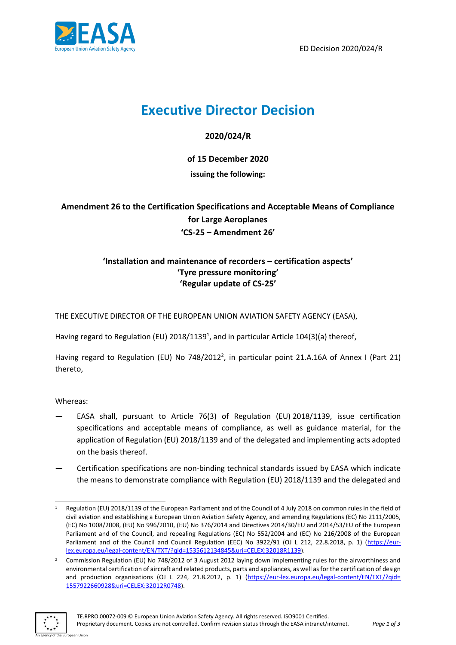

ED Decision 2020/024/R

## **Executive Director Decision**

**2020/024/R**

**of 15 December 2020**

**issuing the following:**

**Amendment 26 to the Certification Specifications and Acceptable Means of Compliance for Large Aeroplanes 'CS-25 – Amendment 26'** 

## **'Installation and maintenance of recorders – certification aspects' 'Tyre pressure monitoring' 'Regular update of CS-25'**

THE EXECUTIVE DIRECTOR OF THE EUROPEAN UNION AVIATION SAFETY AGENCY (EASA),

Having regard to Regulation (EU) 2018/1139<sup>1</sup>, and in particular Article 104(3)(a) thereof,

Having regard to Regulation (EU) No 748/2012<sup>2</sup>, in particular point 21.A.16A of Annex I (Part 21) thereto,

Whereas:

- EASA shall, pursuant to Article 76(3) of Regulation (EU) 2018/1139, issue certification specifications and acceptable means of compliance, as well as guidance material, for the application of Regulation (EU) 2018/1139 and of the delegated and implementing acts adopted on the basis thereof.
- Certification specifications are non-binding technical standards issued by EASA which indicate the means to demonstrate compliance with Regulation (EU) 2018/1139 and the delegated and

<sup>&</sup>lt;sup>2</sup> Commission Regulation (EU) No 748/2012 of 3 August 2012 laying down implementing rules for the airworthiness and environmental certification of aircraft and related products, parts and appliances, as well as for the certification of design and production organisations (OJ L 224, 21.8.2012, p. 1) [\(https://eur-lex.europa.eu/legal-content/EN/TXT/?qid=](https://eur-lex.europa.eu/legal-content/EN/TXT/?qid=%201557922660928&uri=CELEX:32012R0748)  [1557922660928&uri=CELEX:32012R0748\)](https://eur-lex.europa.eu/legal-content/EN/TXT/?qid=%201557922660928&uri=CELEX:32012R0748).



<sup>1</sup> Regulation (EU) 2018/1139 of the European Parliament and of the Council of 4 July 2018 on common rules in the field of civil aviation and establishing a European Union Aviation Safety Agency, and amending Regulations (EC) No 2111/2005, (EC) No 1008/2008, (EU) No 996/2010, (EU) No 376/2014 and Directives 2014/30/EU and 2014/53/EU of the European Parliament and of the Council, and repealing Regulations (EC) No 552/2004 and (EC) No 216/2008 of the European Parliament and of the Council and Council Regulation (EEC) No 3922/91 (OJ L 212, 22.8.2018, p. 1) [\(https://eur](https://eur-lex.europa.eu/legal-content/EN/TXT/?qid=1535612134845&uri=CELEX:32018R1139)[lex.europa.eu/legal-content/EN/TXT/?qid=1535612134845&uri=CELEX:32018R1139\)](https://eur-lex.europa.eu/legal-content/EN/TXT/?qid=1535612134845&uri=CELEX:32018R1139).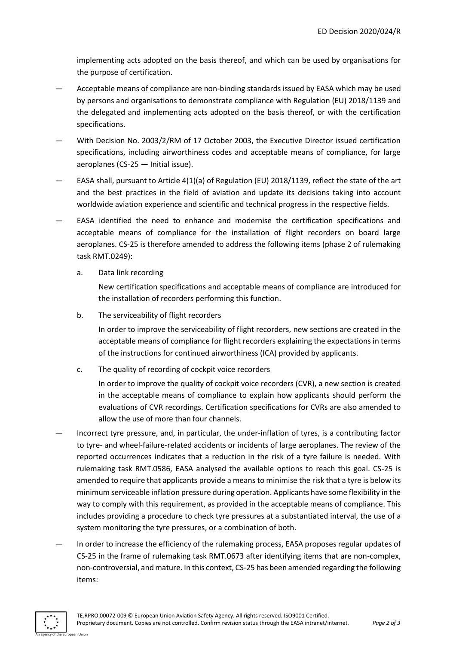implementing acts adopted on the basis thereof, and which can be used by organisations for the purpose of certification.

- Acceptable means of compliance are non-binding standards issued by EASA which may be used by persons and organisations to demonstrate compliance with Regulation (EU) 2018/1139 and the delegated and implementing acts adopted on the basis thereof, or with the certification specifications.
- With Decision No. 2003/2/RM of 17 October 2003, the Executive Director issued certification specifications, including airworthiness codes and acceptable means of compliance, for large aeroplanes (CS-25 — Initial issue).
- EASA shall, pursuant to Article 4(1)(a) of Regulation (EU) 2018/1139, reflect the state of the art and the best practices in the field of aviation and update its decisions taking into account worldwide aviation experience and scientific and technical progress in the respective fields.
- EASA identified the need to enhance and modernise the certification specifications and acceptable means of compliance for the installation of flight recorders on board large aeroplanes. CS-25 is therefore amended to address the following items (phase 2 of rulemaking task RMT.0249):
	- a. Data link recording

New certification specifications and acceptable means of compliance are introduced for the installation of recorders performing this function.

b. The serviceability of flight recorders

In order to improve the serviceability of flight recorders, new sections are created in the acceptable means of compliance for flight recorders explaining the expectations in terms of the instructions for continued airworthiness (ICA) provided by applicants.

c. The quality of recording of cockpit voice recorders

In order to improve the quality of cockpit voice recorders (CVR), a new section is created in the acceptable means of compliance to explain how applicants should perform the evaluations of CVR recordings. Certification specifications for CVRs are also amended to allow the use of more than four channels.

- Incorrect tyre pressure, and, in particular, the under-inflation of tyres, is a contributing factor to tyre- and wheel-failure-related accidents or incidents of large aeroplanes. The review of the reported occurrences indicates that a reduction in the risk of a tyre failure is needed. With rulemaking task RMT.0586, EASA analysed the available options to reach this goal. CS-25 is amended to require that applicants provide a means to minimise the risk that a tyre is below its minimum serviceable inflation pressure during operation. Applicants have some flexibility in the way to comply with this requirement, as provided in the acceptable means of compliance. This includes providing a procedure to check tyre pressures at a substantiated interval, the use of a system monitoring the tyre pressures, or a combination of both.
- In order to increase the efficiency of the rulemaking process, EASA proposes regular updates of CS-25 in the frame of rulemaking task RMT.0673 after identifying items that are non-complex, non-controversial, and mature. In this context, CS-25 has been amended regarding the following items: